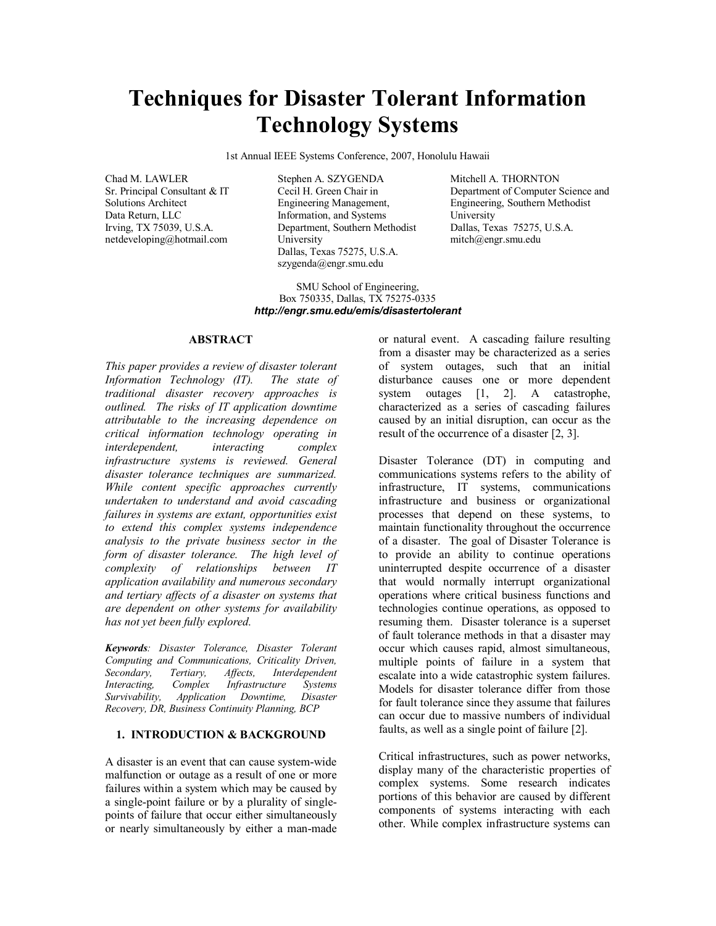# **Techniques for Disaster Tolerant Information Technology Systems**

1st Annual IEEE Systems Conference, 2007, Honolulu Hawaii

Chad M. LAWLER Sr. Principal Consultant & IT Solutions Architect Data Return, LLC Irving, TX 75039, U.S.A. netdeveloping@hotmail.com

Stephen A. SZYGENDA Cecil H. Green Chair in Engineering Management, Information, and Systems Department, Southern Methodist University Dallas, Texas 75275, U.S.A. szygenda@engr.smu.edu

Mitchell A. THORNTON Department of Computer Science and Engineering, Southern Methodist University Dallas, Texas 75275, U.S.A. mitch@engr.smu.edu

SMU School of Engineering, Box 750335, Dallas, TX 75275-0335 *http://engr.smu.edu/emis/disastertolerant*

#### **ABSTRACT**

*This paper provides a review of disaster tolerant Information Technology (IT). The state of traditional disaster recovery approaches is outlined. The risks of IT application downtime attributable to the increasing dependence on critical information technology operating in interdependent, interacting complex infrastructure systems is reviewed. General disaster tolerance techniques are summarized. While content specific approaches currently undertaken to understand and avoid cascading failures in systems are extant, opportunities exist to extend this complex systems independence analysis to the private business sector in the form of disaster tolerance. The high level of complexity of relationships between IT application availability and numerous secondary and tertiary affects of a disaster on systems that are dependent on other systems for availability has not yet been fully explored.* 

*Keywords: Disaster Tolerance, Disaster Tolerant Computing and Communications, Criticality Driven, Secondary, Tertiary, Affects, Interdependent Interacting, Complex Infrastructure Systems Survivability, Application Downtime, Recovery, DR, Business Continuity Planning, BCP* 

#### **1. INTRODUCTION & BACKGROUND**

A disaster is an event that can cause system-wide malfunction or outage as a result of one or more failures within a system which may be caused by a single-point failure or by a plurality of singlepoints of failure that occur either simultaneously or nearly simultaneously by either a man-made or natural event. A cascading failure resulting from a disaster may be characterized as a series of system outages, such that an initial disturbance causes one or more dependent system outages [1, 2]. A catastrophe, characterized as a series of cascading failures caused by an initial disruption, can occur as the result of the occurrence of a disaster [2, 3].

Disaster Tolerance (DT) in computing and communications systems refers to the ability of infrastructure, IT systems, communications infrastructure and business or organizational processes that depend on these systems, to maintain functionality throughout the occurrence of a disaster. The goal of Disaster Tolerance is to provide an ability to continue operations uninterrupted despite occurrence of a disaster that would normally interrupt organizational operations where critical business functions and technologies continue operations, as opposed to resuming them. Disaster tolerance is a superset of fault tolerance methods in that a disaster may occur which causes rapid, almost simultaneous, multiple points of failure in a system that escalate into a wide catastrophic system failures. Models for disaster tolerance differ from those for fault tolerance since they assume that failures can occur due to massive numbers of individual faults, as well as a single point of failure [2].

Critical infrastructures, such as power networks, display many of the characteristic properties of complex systems. Some research indicates portions of this behavior are caused by different components of systems interacting with each other. While complex infrastructure systems can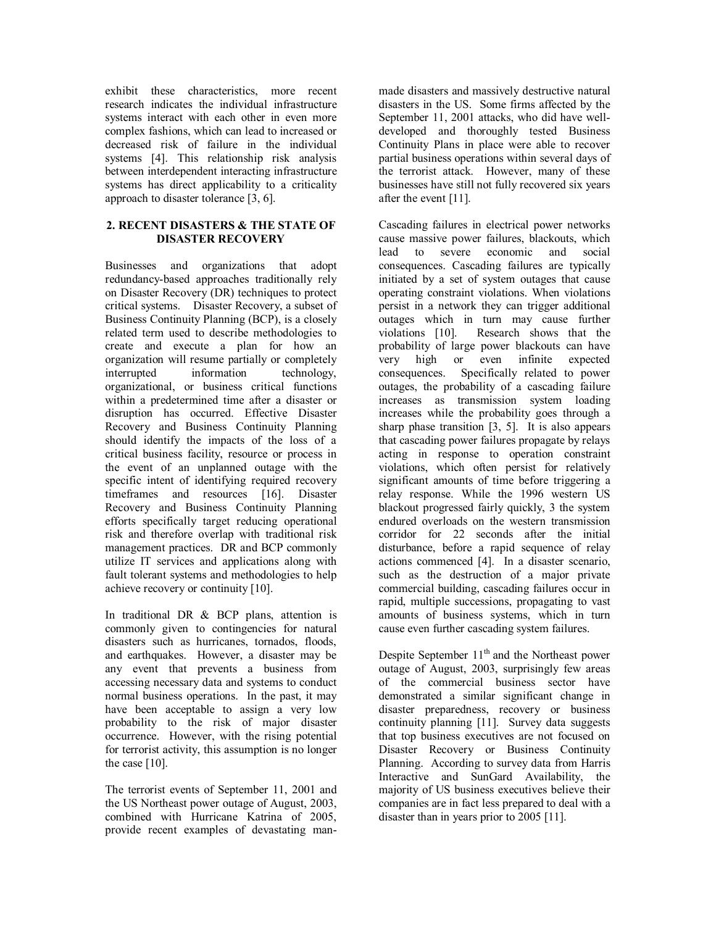exhibit these characteristics, more recent research indicates the individual infrastructure systems interact with each other in even more complex fashions, which can lead to increased or decreased risk of failure in the individual systems [4]. This relationship risk analysis between interdependent interacting infrastructure systems has direct applicability to a criticality approach to disaster tolerance [3, 6].

## **2. RECENT DISASTERS & THE STATE OF DISASTER RECOVERY**

Businesses and organizations that adopt redundancy-based approaches traditionally rely on Disaster Recovery (DR) techniques to protect critical systems. Disaster Recovery, a subset of Business Continuity Planning (BCP), is a closely related term used to describe methodologies to create and execute a plan for how an organization will resume partially or completely interrupted information technology, organizational, or business critical functions within a predetermined time after a disaster or disruption has occurred. Effective Disaster Recovery and Business Continuity Planning should identify the impacts of the loss of a critical business facility, resource or process in the event of an unplanned outage with the specific intent of identifying required recovery timeframes and resources [16]. Disaster Recovery and Business Continuity Planning efforts specifically target reducing operational risk and therefore overlap with traditional risk management practices. DR and BCP commonly utilize IT services and applications along with fault tolerant systems and methodologies to help achieve recovery or continuity [10].

In traditional DR & BCP plans, attention is commonly given to contingencies for natural disasters such as hurricanes, tornados, floods, and earthquakes. However, a disaster may be any event that prevents a business from accessing necessary data and systems to conduct normal business operations. In the past, it may have been acceptable to assign a very low probability to the risk of major disaster occurrence. However, with the rising potential for terrorist activity, this assumption is no longer the case  $[10]$ .

The terrorist events of September 11, 2001 and the US Northeast power outage of August, 2003, combined with Hurricane Katrina of 2005, provide recent examples of devastating manmade disasters and massively destructive natural disasters in the US. Some firms affected by the September 11, 2001 attacks, who did have welldeveloped and thoroughly tested Business Continuity Plans in place were able to recover partial business operations within several days of the terrorist attack. However, many of these businesses have still not fully recovered six years after the event [11].

Cascading failures in electrical power networks cause massive power failures, blackouts, which lead to severe economic and social consequences. Cascading failures are typically initiated by a set of system outages that cause operating constraint violations. When violations persist in a network they can trigger additional outages which in turn may cause further violations [10]. Research shows that the probability of large power blackouts can have very high or even infinite expected consequences. Specifically related to power outages, the probability of a cascading failure increases as transmission system loading increases while the probability goes through a sharp phase transition [3, 5]. It is also appears that cascading power failures propagate by relays acting in response to operation constraint violations, which often persist for relatively significant amounts of time before triggering a relay response. While the 1996 western US blackout progressed fairly quickly, 3 the system endured overloads on the western transmission corridor for 22 seconds after the initial disturbance, before a rapid sequence of relay actions commenced [4]. In a disaster scenario, such as the destruction of a major private commercial building, cascading failures occur in rapid, multiple successions, propagating to vast amounts of business systems, which in turn cause even further cascading system failures.

Despite September  $11<sup>th</sup>$  and the Northeast power outage of August, 2003, surprisingly few areas of the commercial business sector have demonstrated a similar significant change in disaster preparedness, recovery or business continuity planning [11]. Survey data suggests that top business executives are not focused on Disaster Recovery or Business Continuity Planning. According to survey data from Harris Interactive and SunGard Availability, the majority of US business executives believe their companies are in fact less prepared to deal with a disaster than in years prior to 2005 [11].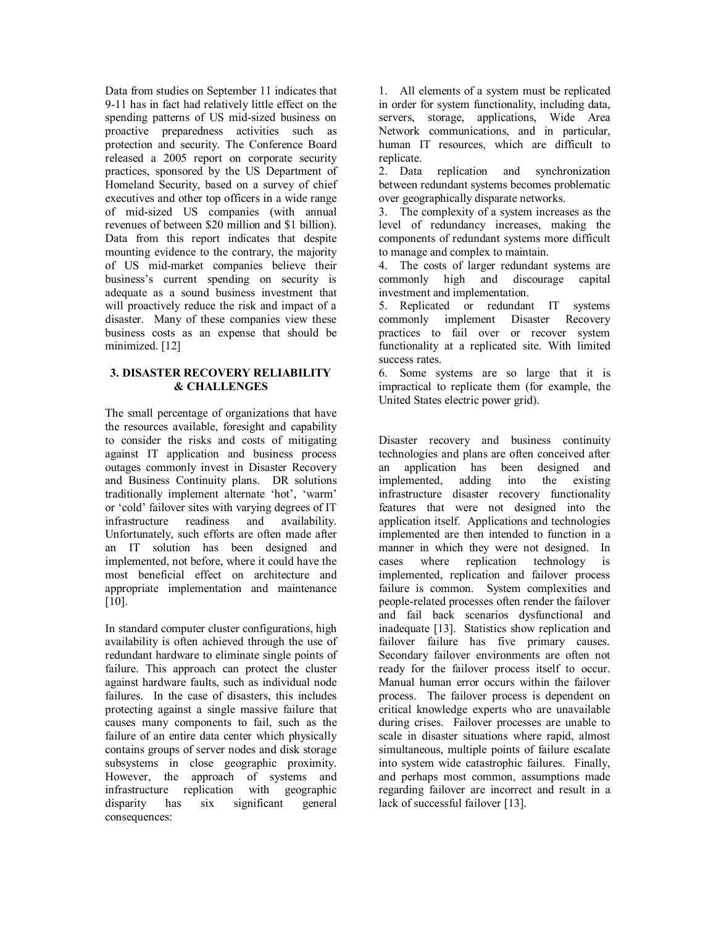Data from studies on September 11 indicates that 9-11 has in fact had relatively little effect on the spending patterns of US mid-sized business on proactive preparedness activities such as protection and security. The Conference Board released a 2005 report on corporate security practices, sponsored by the US Department of Homeland Security, based on a survey of chief executives and other top officers in a wide range of mid-sized US companies (with annual revenues of between \$20 million and \$1 billion). Data from this report indicates that despite mounting evidence to the contrary, the majority of US mid-market companies believe their business's current spending on security is adequate as a sound business investment that will proactively reduce the risk and impact of a disaster. Many of these companies view these business costs as an expense that should be minimized. [12]

#### **3. DISASTER RECOVERY RELIABILITY & CHALLENGES**

The small percentage of organizations that have the resources available, foresight and capability to consider the risks and costs of mitigating against IT application and business process outages commonly invest in Disaster Recovery and Business Continuity plans. DR solutions traditionally implement alternate 'hot', 'warm' or 'cold' failover sites with varying degrees of IT infrastructure readiness and availability. Unfortunately, such efforts are often made after an IT solution has been designed and implemented, not before, where it could have the most beneficial effect on architecture and appropriate implementation and maintenance [10].

In standard computer cluster configurations, high availability is often achieved through the use of redundant hardware to eliminate single points of failure. This approach can protect the cluster against hardware faults, such as individual node failures. In the case of disasters, this includes protecting against a single massive failure that causes many components to fail, such as the failure of an entire data center which physically contains groups of server nodes and disk storage subsystems in close geographic proximity. However, the approach of systems and infrastructure replication with geographic disparity has six significant general consequences:

1. All elements of a system must be replicated in order for system functionality, including data, servers, storage, applications, Wide Area Network communications, and in particular, human IT resources, which are difficult to replicate.

2. Data replication and synchronization between redundant systems becomes problematic over geographically disparate networks.

3. The complexity of a system increases as the level of redundancy increases, making the components of redundant systems more difficult to manage and complex to maintain.

4. The costs of larger redundant systems are commonly high and discourage capital investment and implementation.

5. Replicated or redundant IT systems commonly implement Disaster Recovery practices to fail over or recover system functionality at a replicated site. With limited success rates.

6. Some systems are so large that it is impractical to replicate them (for example, the United States electric power grid).

Disaster recovery and business continuity technologies and plans are often conceived after an application has been designed and implemented, adding into the existing infrastructure disaster recovery functionality features that were not designed into the application itself. Applications and technologies implemented are then intended to function in a manner in which they were not designed. In cases where replication technology is implemented, replication and failover process failure is common. System complexities and people-related processes often render the failover and fail back scenarios dysfunctional and inadequate [13]. Statistics show replication and failover failure has five primary causes. Secondary failover environments are often not ready for the failover process itself to occur. Manual human error occurs within the failover process. The failover process is dependent on critical knowledge experts who are unavailable during crises. Failover processes are unable to scale in disaster situations where rapid, almost simultaneous, multiple points of failure escalate into system wide catastrophic failures. Finally, and perhaps most common, assumptions made regarding failover are incorrect and result in a lack of successful failover [13].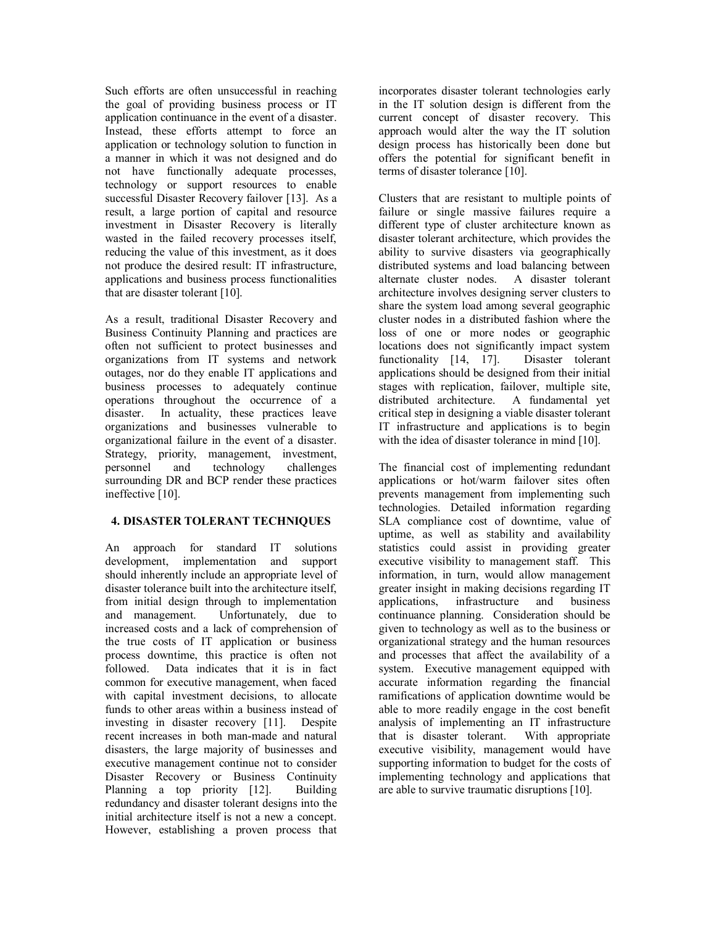Such efforts are often unsuccessful in reaching the goal of providing business process or IT application continuance in the event of a disaster. Instead, these efforts attempt to force an application or technology solution to function in a manner in which it was not designed and do not have functionally adequate processes, technology or support resources to enable successful Disaster Recovery failover [13]. As a result, a large portion of capital and resource investment in Disaster Recovery is literally wasted in the failed recovery processes itself, reducing the value of this investment, as it does not produce the desired result: IT infrastructure, applications and business process functionalities that are disaster tolerant [10].

As a result, traditional Disaster Recovery and Business Continuity Planning and practices are often not sufficient to protect businesses and organizations from IT systems and network outages, nor do they enable IT applications and business processes to adequately continue operations throughout the occurrence of a disaster. In actuality, these practices leave organizations and businesses vulnerable to organizational failure in the event of a disaster. Strategy, priority, management, investment, personnel and technology challenges surrounding DR and BCP render these practices ineffective [10].

# **4. DISASTER TOLERANT TECHNIQUES**

An approach for standard IT solutions development, implementation and support should inherently include an appropriate level of disaster tolerance built into the architecture itself, from initial design through to implementation and management. Unfortunately, due to increased costs and a lack of comprehension of the true costs of IT application or business process downtime, this practice is often not followed. Data indicates that it is in fact common for executive management, when faced with capital investment decisions, to allocate funds to other areas within a business instead of investing in disaster recovery [11]. Despite recent increases in both man-made and natural disasters, the large majority of businesses and executive management continue not to consider Disaster Recovery or Business Continuity Planning a top priority [12]. Building redundancy and disaster tolerant designs into the initial architecture itself is not a new a concept. However, establishing a proven process that incorporates disaster tolerant technologies early in the IT solution design is different from the current concept of disaster recovery. This approach would alter the way the IT solution design process has historically been done but offers the potential for significant benefit in terms of disaster tolerance [10].

Clusters that are resistant to multiple points of failure or single massive failures require a different type of cluster architecture known as disaster tolerant architecture, which provides the ability to survive disasters via geographically distributed systems and load balancing between alternate cluster nodes. A disaster tolerant architecture involves designing server clusters to share the system load among several geographic cluster nodes in a distributed fashion where the loss of one or more nodes or geographic locations does not significantly impact system functionality [14, 17]. Disaster tolerant applications should be designed from their initial stages with replication, failover, multiple site, distributed architecture. A fundamental yet critical step in designing a viable disaster tolerant IT infrastructure and applications is to begin with the idea of disaster tolerance in mind [10].

The financial cost of implementing redundant applications or hot/warm failover sites often prevents management from implementing such technologies. Detailed information regarding SLA compliance cost of downtime, value of uptime, as well as stability and availability statistics could assist in providing greater executive visibility to management staff. This information, in turn, would allow management greater insight in making decisions regarding IT applications, infrastructure and business continuance planning. Consideration should be given to technology as well as to the business or organizational strategy and the human resources and processes that affect the availability of a system. Executive management equipped with accurate information regarding the financial ramifications of application downtime would be able to more readily engage in the cost benefit analysis of implementing an IT infrastructure that is disaster tolerant. With appropriate executive visibility, management would have supporting information to budget for the costs of implementing technology and applications that are able to survive traumatic disruptions [10].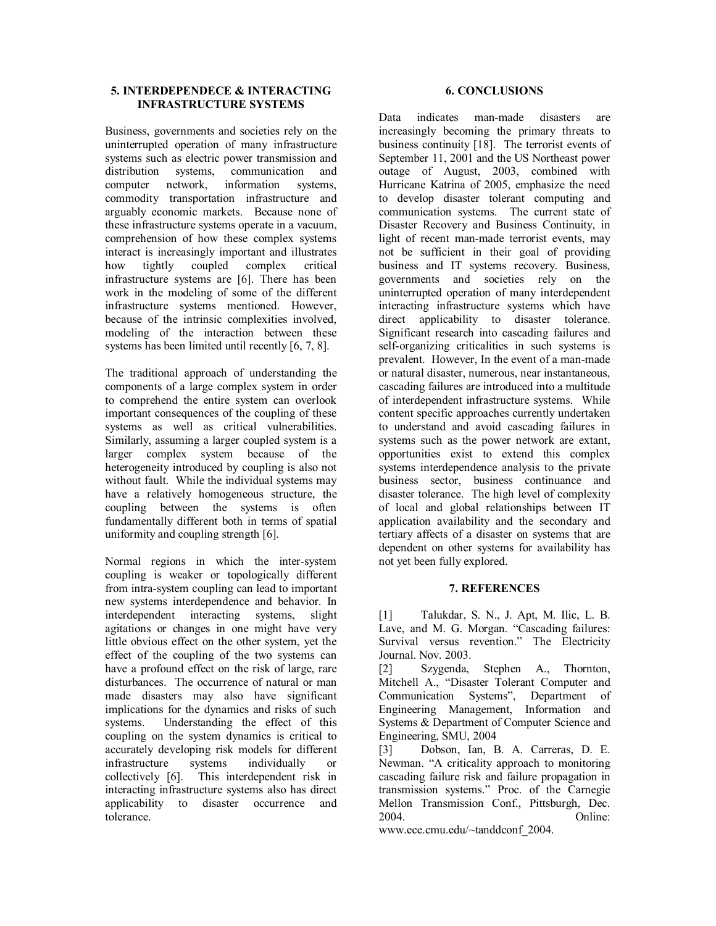## **5. INTERDEPENDECE & INTERACTING INFRASTRUCTURE SYSTEMS**

Business, governments and societies rely on the uninterrupted operation of many infrastructure systems such as electric power transmission and distribution systems, communication and computer network, information systems, commodity transportation infrastructure and arguably economic markets. Because none of these infrastructure systems operate in a vacuum, comprehension of how these complex systems interact is increasingly important and illustrates how tightly coupled complex critical infrastructure systems are [6]. There has been work in the modeling of some of the different infrastructure systems mentioned. However, because of the intrinsic complexities involved, modeling of the interaction between these systems has been limited until recently [6, 7, 8].

The traditional approach of understanding the components of a large complex system in order to comprehend the entire system can overlook important consequences of the coupling of these systems as well as critical vulnerabilities. Similarly, assuming a larger coupled system is a larger complex system because of the heterogeneity introduced by coupling is also not without fault. While the individual systems may have a relatively homogeneous structure, the coupling between the systems is often fundamentally different both in terms of spatial uniformity and coupling strength [6].

Normal regions in which the inter-system coupling is weaker or topologically different from intra-system coupling can lead to important new systems interdependence and behavior. In interdependent interacting systems, slight agitations or changes in one might have very little obvious effect on the other system, yet the effect of the coupling of the two systems can have a profound effect on the risk of large, rare disturbances. The occurrence of natural or man made disasters may also have significant implications for the dynamics and risks of such systems. Understanding the effect of this coupling on the system dynamics is critical to accurately developing risk models for different infrastructure systems individually or collectively [6]. This interdependent risk in interacting infrastructure systems also has direct applicability to disaster occurrence and tolerance.

#### **6. CONCLUSIONS**

Data indicates man-made disasters are increasingly becoming the primary threats to business continuity [18]. The terrorist events of September 11, 2001 and the US Northeast power outage of August, 2003, combined with Hurricane Katrina of 2005, emphasize the need to develop disaster tolerant computing and communication systems. The current state of Disaster Recovery and Business Continuity, in light of recent man-made terrorist events, may not be sufficient in their goal of providing business and IT systems recovery. Business, governments and societies rely on the uninterrupted operation of many interdependent interacting infrastructure systems which have direct applicability to disaster tolerance. Significant research into cascading failures and self-organizing criticalities in such systems is prevalent. However, In the event of a man-made or natural disaster, numerous, near instantaneous, cascading failures are introduced into a multitude of interdependent infrastructure systems. While content specific approaches currently undertaken to understand and avoid cascading failures in systems such as the power network are extant, opportunities exist to extend this complex systems interdependence analysis to the private business sector, business continuance and disaster tolerance. The high level of complexity of local and global relationships between IT application availability and the secondary and tertiary affects of a disaster on systems that are dependent on other systems for availability has not yet been fully explored.

## **7. REFERENCES**

[1] Talukdar, S. N., J. Apt, M. Ilic, L. B. Lave, and M. G. Morgan. "Cascading failures: Survival versus revention." The Electricity Journal. Nov. 2003.

[2] Szygenda, Stephen A., Thornton, Mitchell A., "Disaster Tolerant Computer and Communication Systems", Department of Engineering Management, Information and Systems & Department of Computer Science and Engineering, SMU, 2004

[3] Dobson, Ian, B. A. Carreras, D. E. Newman. "A criticality approach to monitoring cascading failure risk and failure propagation in transmission systems." Proc. of the Carnegie Mellon Transmission Conf., Pittsburgh, Dec. 2004. Online:

www.ece.cmu.edu/~tanddconf\_2004.